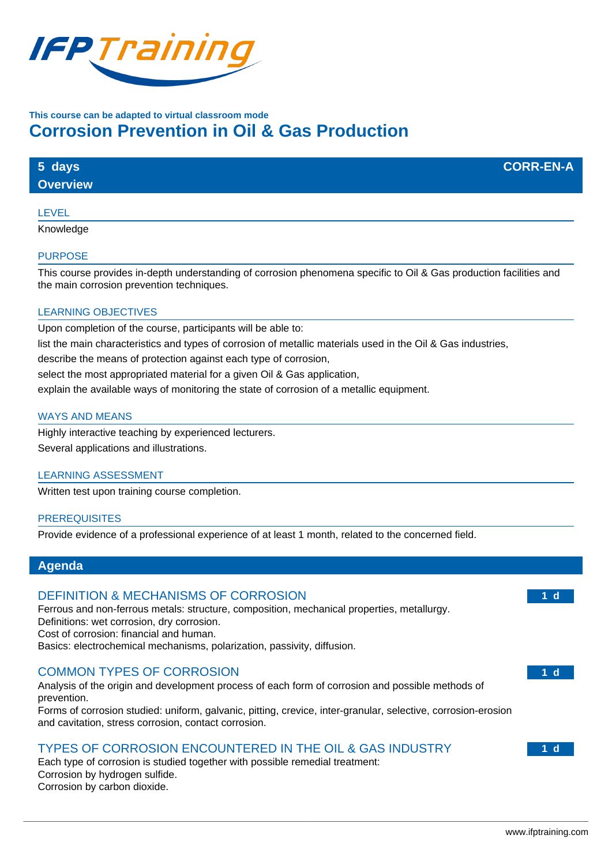

# **This course can be adapted to virtual classroom mode Corrosion Prevention in Oil & Gas Production**

| 5 days          | <b>CORR-EN-A</b> |
|-----------------|------------------|
| <b>Overview</b> |                  |
| ________        |                  |

### LEVEL

Knowledge

#### PURPOSE

This course provides in-depth understanding of corrosion phenomena specific to Oil & Gas production facilities and the main corrosion prevention techniques.

### LEARNING OBJECTIVES

Upon completion of the course, participants will be able to:

list the main characteristics and types of corrosion of metallic materials used in the Oil & Gas industries,

describe the means of protection against each type of corrosion,

select the most appropriated material for a given Oil & Gas application,

explain the available ways of monitoring the state of corrosion of a metallic equipment.

#### WAYS AND MEANS

Highly interactive teaching by experienced lecturers. Several applications and illustrations.

#### LEARNING ASSESSMENT

Written test upon training course completion.

#### **PREREQUISITES**

Provide evidence of a professional experience of at least 1 month, related to the concerned field.

### **Agenda**

## DEFINITION & MECHANISMS OF CORROSION

Ferrous and non-ferrous metals: structure, composition, mechanical properties, metallurgy. Definitions: wet corrosion, dry corrosion. Cost of corrosion: financial and human. Basics: electrochemical mechanisms, polarization, passivity, diffusion.

## COMMON TYPES OF CORROSION

Analysis of the origin and development process of each form of corrosion and possible methods of prevention.

Forms of corrosion studied: uniform, galvanic, pitting, crevice, inter-granular, selective, corrosion-erosion and cavitation, stress corrosion, contact corrosion.

# TYPES OF CORROSION ENCOUNTERED IN THE OIL & GAS INDUSTRY

Each type of corrosion is studied together with possible remedial treatment: Corrosion by hydrogen sulfide. Corrosion by carbon dioxide.

**1 d**

**1 d**

**1 d**